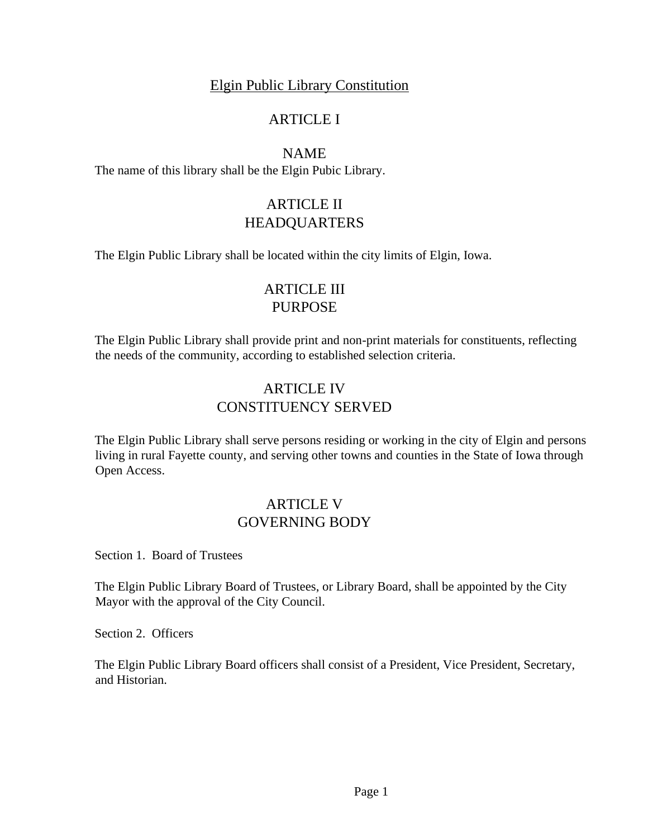### Elgin Public Library Constitution

## ARTICLE I

NAME

The name of this library shall be the Elgin Pubic Library.

# ARTICLE II HEADQUARTERS

The Elgin Public Library shall be located within the city limits of Elgin, Iowa.

# ARTICLE III PURPOSE

The Elgin Public Library shall provide print and non-print materials for constituents, reflecting the needs of the community, according to established selection criteria.

## ARTICLE IV CONSTITUENCY SERVED

The Elgin Public Library shall serve persons residing or working in the city of Elgin and persons living in rural Fayette county, and serving other towns and counties in the State of Iowa through Open Access.

## ARTICLE V GOVERNING BODY

Section 1. Board of Trustees

The Elgin Public Library Board of Trustees, or Library Board, shall be appointed by the City Mayor with the approval of the City Council.

Section 2. Officers

The Elgin Public Library Board officers shall consist of a President, Vice President, Secretary, and Historian.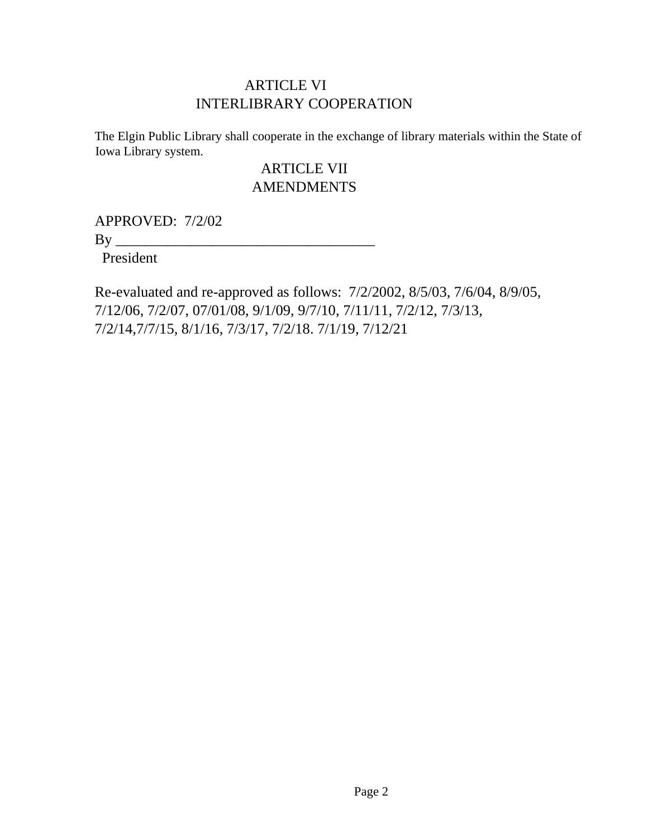## ARTICLE VI INTERLIBRARY COOPERATION

The Elgin Public Library shall cooperate in the exchange of library materials within the State of Iowa Library system.

## ARTICLE VII **AMENDMENTS**

APPROVED: 7/2/02

 $By \_\_$ 

President

Re-evaluated and re-approved as follows: 7/2/2002, 8/5/03, 7/6/04, 8/9/05, 7/12/06, 7/2/07, 07/01/08, 9/1/09, 9/7/10, 7/11/11, 7/2/12, 7/3/13, 7/2/14,7/7/15, 8/1/16, 7/3/17, 7/2/18. 7/1/19, 7/12/21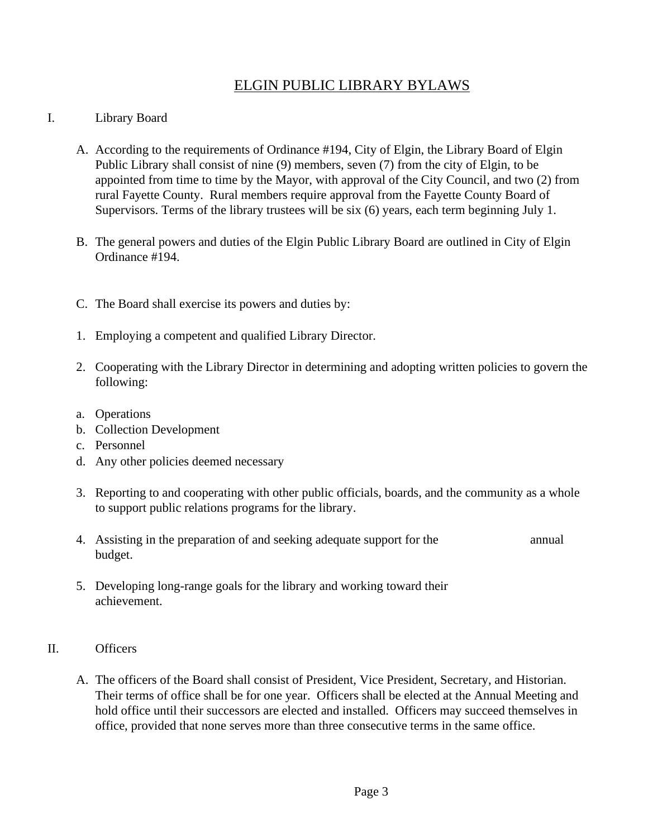## ELGIN PUBLIC LIBRARY BYLAWS

#### I. Library Board

- A. According to the requirements of Ordinance #194, City of Elgin, the Library Board of Elgin Public Library shall consist of nine (9) members, seven (7) from the city of Elgin, to be appointed from time to time by the Mayor, with approval of the City Council, and two (2) from rural Fayette County. Rural members require approval from the Fayette County Board of Supervisors. Terms of the library trustees will be six (6) years, each term beginning July 1.
- B. The general powers and duties of the Elgin Public Library Board are outlined in City of Elgin Ordinance #194.
- C. The Board shall exercise its powers and duties by:
- 1. Employing a competent and qualified Library Director.
- 2. Cooperating with the Library Director in determining and adopting written policies to govern the following:
- a. Operations
- b. Collection Development
- c. Personnel
- d. Any other policies deemed necessary
- 3. Reporting to and cooperating with other public officials, boards, and the community as a whole to support public relations programs for the library.
- 4. Assisting in the preparation of and seeking adequate support for the annual budget.
- 5. Developing long-range goals for the library and working toward their achievement.

#### II. Officers

A. The officers of the Board shall consist of President, Vice President, Secretary, and Historian. Their terms of office shall be for one year. Officers shall be elected at the Annual Meeting and hold office until their successors are elected and installed. Officers may succeed themselves in office, provided that none serves more than three consecutive terms in the same office.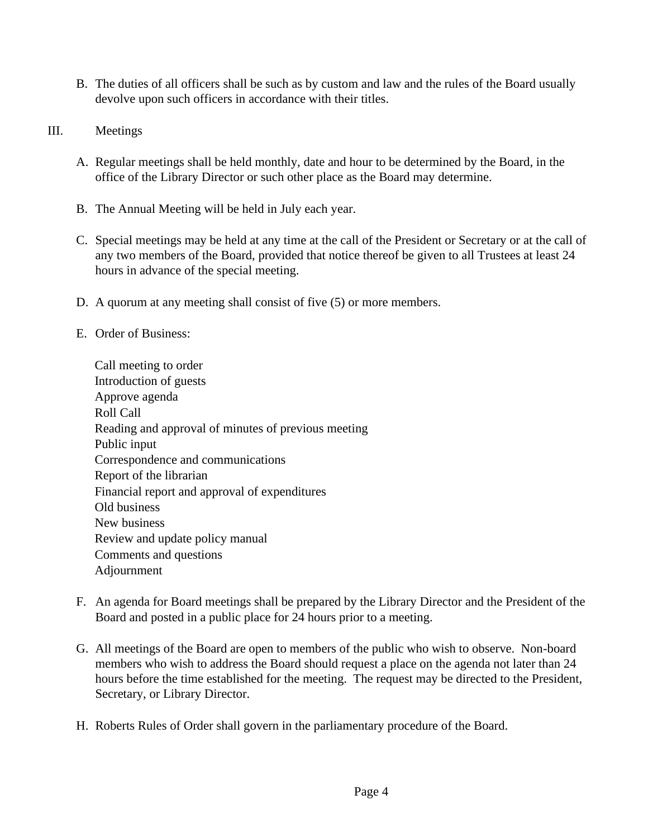- B. The duties of all officers shall be such as by custom and law and the rules of the Board usually devolve upon such officers in accordance with their titles.
- III. Meetings
	- A. Regular meetings shall be held monthly, date and hour to be determined by the Board, in the office of the Library Director or such other place as the Board may determine.
	- B. The Annual Meeting will be held in July each year.
	- C. Special meetings may be held at any time at the call of the President or Secretary or at the call of any two members of the Board, provided that notice thereof be given to all Trustees at least 24 hours in advance of the special meeting.
	- D. A quorum at any meeting shall consist of five (5) or more members.
	- E. Order of Business:

Call meeting to order Introduction of guests Approve agenda Roll Call Reading and approval of minutes of previous meeting Public input Correspondence and communications Report of the librarian Financial report and approval of expenditures Old business New business Review and update policy manual Comments and questions Adjournment

- F. An agenda for Board meetings shall be prepared by the Library Director and the President of the Board and posted in a public place for 24 hours prior to a meeting.
- G. All meetings of the Board are open to members of the public who wish to observe. Non-board members who wish to address the Board should request a place on the agenda not later than 24 hours before the time established for the meeting. The request may be directed to the President, Secretary, or Library Director.
- H. Roberts Rules of Order shall govern in the parliamentary procedure of the Board.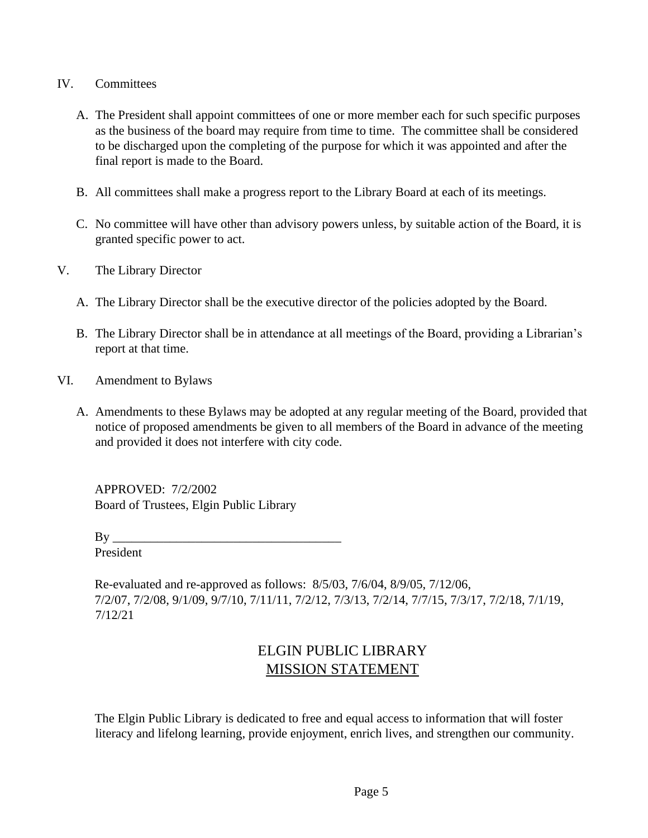- IV. Committees
	- A. The President shall appoint committees of one or more member each for such specific purposes as the business of the board may require from time to time. The committee shall be considered to be discharged upon the completing of the purpose for which it was appointed and after the final report is made to the Board.
	- B. All committees shall make a progress report to the Library Board at each of its meetings.
	- C. No committee will have other than advisory powers unless, by suitable action of the Board, it is granted specific power to act.
- V. The Library Director
	- A. The Library Director shall be the executive director of the policies adopted by the Board.
	- B. The Library Director shall be in attendance at all meetings of the Board, providing a Librarian's report at that time.
- VI. Amendment to Bylaws
	- A. Amendments to these Bylaws may be adopted at any regular meeting of the Board, provided that notice of proposed amendments be given to all members of the Board in advance of the meeting and provided it does not interfere with city code.

APPROVED: 7/2/2002 Board of Trustees, Elgin Public Library

 $By \_\_$ President

Re-evaluated and re-approved as follows: 8/5/03, 7/6/04, 8/9/05, 7/12/06, 7/2/07, 7/2/08, 9/1/09, 9/7/10, 7/11/11, 7/2/12, 7/3/13, 7/2/14, 7/7/15, 7/3/17, 7/2/18, 7/1/19, 7/12/21

## ELGIN PUBLIC LIBRARY MISSION STATEMENT

The Elgin Public Library is dedicated to free and equal access to information that will foster literacy and lifelong learning, provide enjoyment, enrich lives, and strengthen our community.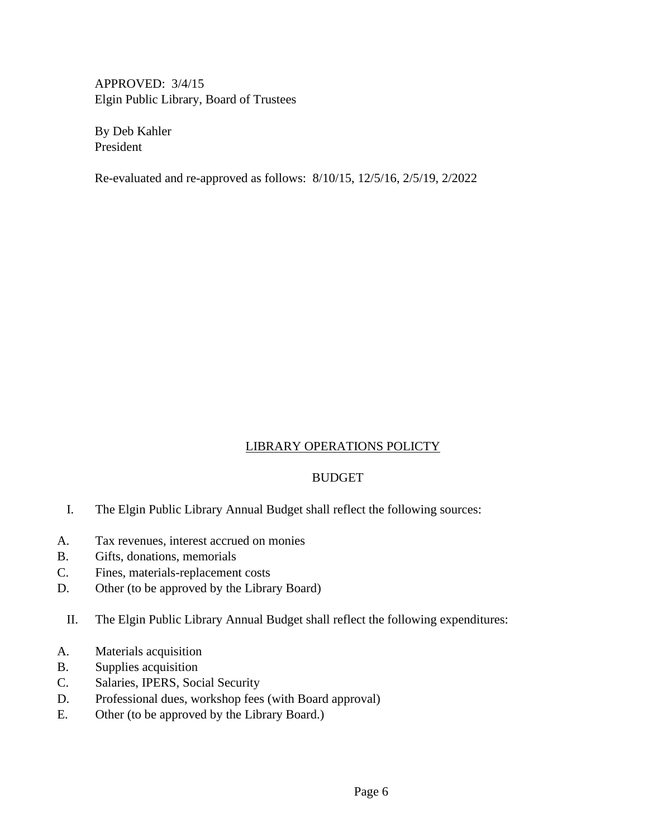APPROVED: 3/4/15 Elgin Public Library, Board of Trustees

By Deb Kahler President

Re-evaluated and re-approved as follows: 8/10/15, 12/5/16, 2/5/19, 2/2022

#### LIBRARY OPERATIONS POLICTY

#### BUDGET

- I. The Elgin Public Library Annual Budget shall reflect the following sources:
- A. Tax revenues, interest accrued on monies
- B. Gifts, donations, memorials
- C. Fines, materials-replacement costs
- D. Other (to be approved by the Library Board)
	- II. The Elgin Public Library Annual Budget shall reflect the following expenditures:
- A. Materials acquisition
- B. Supplies acquisition
- C. Salaries, IPERS, Social Security
- D. Professional dues, workshop fees (with Board approval)
- E. Other (to be approved by the Library Board.)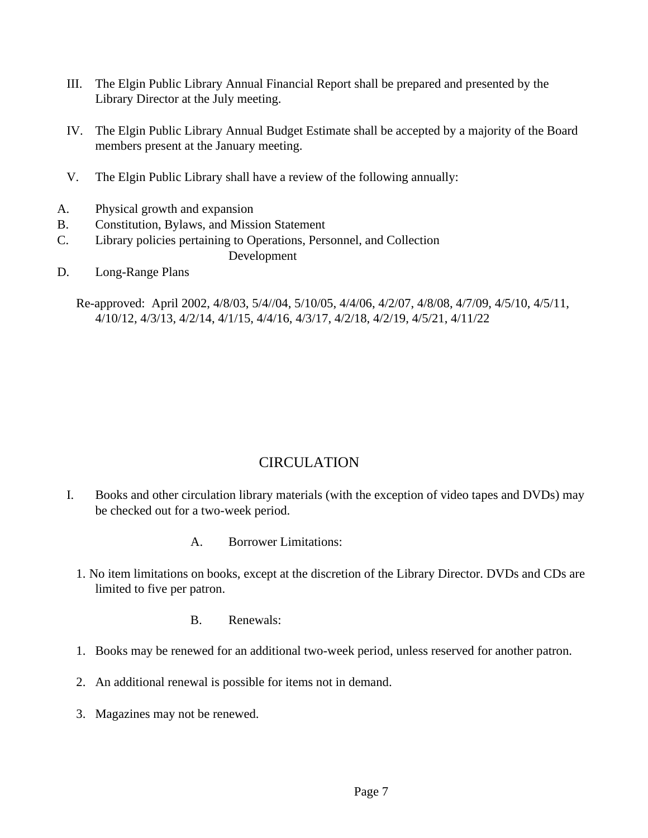- III. The Elgin Public Library Annual Financial Report shall be prepared and presented by the Library Director at the July meeting.
- IV. The Elgin Public Library Annual Budget Estimate shall be accepted by a majority of the Board members present at the January meeting.
- V. The Elgin Public Library shall have a review of the following annually:
- A. Physical growth and expansion
- B. Constitution, Bylaws, and Mission Statement
- C. Library policies pertaining to Operations, Personnel, and Collection
	- Development
- D. Long-Range Plans

Re-approved: April 2002, 4/8/03, 5/4//04, 5/10/05, 4/4/06, 4/2/07, 4/8/08, 4/7/09, 4/5/10, 4/5/11, 4/10/12, 4/3/13, 4/2/14, 4/1/15, 4/4/16, 4/3/17, 4/2/18, 4/2/19, 4/5/21, 4/11/22

## **CIRCULATION**

- I. Books and other circulation library materials (with the exception of video tapes and DVDs) may be checked out for a two-week period.
	- A. Borrower Limitations:
	- 1. No item limitations on books, except at the discretion of the Library Director. DVDs and CDs are limited to five per patron.
		- B. Renewals:
	- 1. Books may be renewed for an additional two-week period, unless reserved for another patron.
	- 2. An additional renewal is possible for items not in demand.
	- 3. Magazines may not be renewed.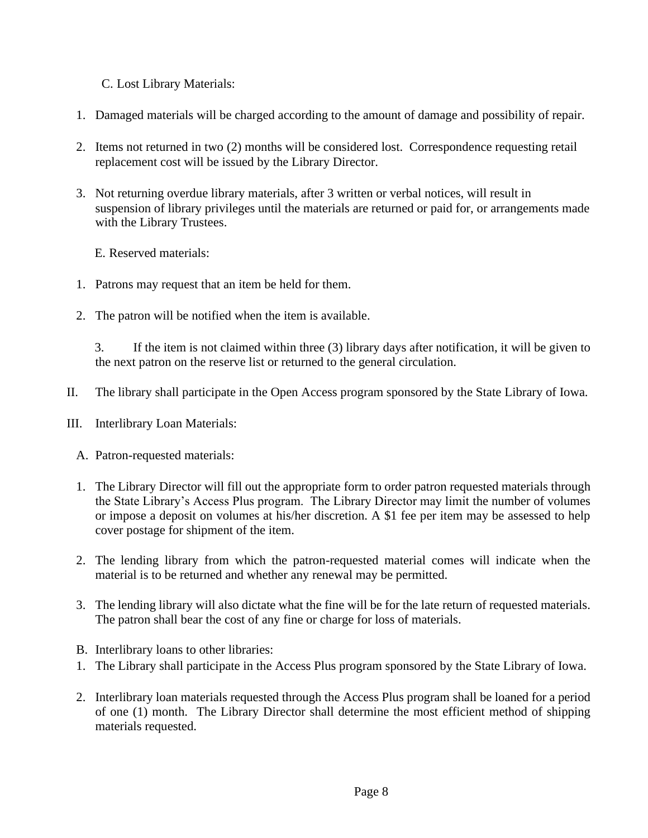C. Lost Library Materials:

- 1. Damaged materials will be charged according to the amount of damage and possibility of repair.
- 2. Items not returned in two (2) months will be considered lost. Correspondence requesting retail replacement cost will be issued by the Library Director.
- 3. Not returning overdue library materials, after 3 written or verbal notices, will result in suspension of library privileges until the materials are returned or paid for, or arrangements made with the Library Trustees.

E. Reserved materials:

- 1. Patrons may request that an item be held for them.
- 2. The patron will be notified when the item is available.

3. If the item is not claimed within three (3) library days after notification, it will be given to the next patron on the reserve list or returned to the general circulation.

- II. The library shall participate in the Open Access program sponsored by the State Library of Iowa.
- III. Interlibrary Loan Materials:
	- A. Patron-requested materials:
	- 1. The Library Director will fill out the appropriate form to order patron requested materials through the State Library's Access Plus program. The Library Director may limit the number of volumes or impose a deposit on volumes at his/her discretion. A \$1 fee per item may be assessed to help cover postage for shipment of the item.
	- 2. The lending library from which the patron-requested material comes will indicate when the material is to be returned and whether any renewal may be permitted.
	- 3. The lending library will also dictate what the fine will be for the late return of requested materials. The patron shall bear the cost of any fine or charge for loss of materials.
	- B. Interlibrary loans to other libraries:
	- 1. The Library shall participate in the Access Plus program sponsored by the State Library of Iowa.
	- 2. Interlibrary loan materials requested through the Access Plus program shall be loaned for a period of one (1) month. The Library Director shall determine the most efficient method of shipping materials requested.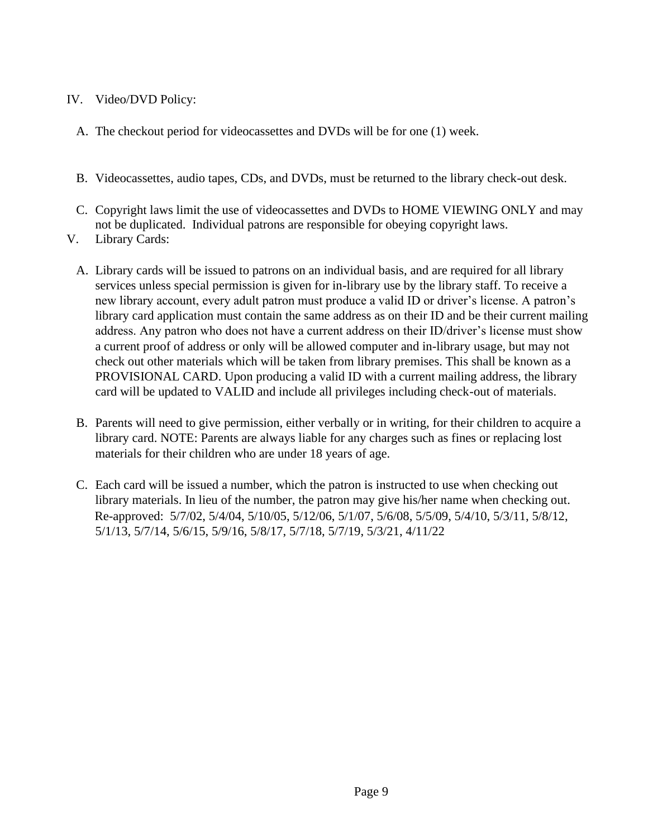#### IV. Video/DVD Policy:

- A. The checkout period for videocassettes and DVDs will be for one (1) week.
- B. Videocassettes, audio tapes, CDs, and DVDs, must be returned to the library check-out desk.
- C. Copyright laws limit the use of videocassettes and DVDs to HOME VIEWING ONLY and may not be duplicated. Individual patrons are responsible for obeying copyright laws.
- V. Library Cards:
	- A. Library cards will be issued to patrons on an individual basis, and are required for all library services unless special permission is given for in-library use by the library staff. To receive a new library account, every adult patron must produce a valid ID or driver's license. A patron's library card application must contain the same address as on their ID and be their current mailing address. Any patron who does not have a current address on their ID/driver's license must show a current proof of address or only will be allowed computer and in-library usage, but may not check out other materials which will be taken from library premises. This shall be known as a PROVISIONAL CARD. Upon producing a valid ID with a current mailing address, the library card will be updated to VALID and include all privileges including check-out of materials.
	- B. Parents will need to give permission, either verbally or in writing, for their children to acquire a library card. NOTE: Parents are always liable for any charges such as fines or replacing lost materials for their children who are under 18 years of age.
	- C. Each card will be issued a number, which the patron is instructed to use when checking out library materials. In lieu of the number, the patron may give his/her name when checking out. Re-approved: 5/7/02, 5/4/04, 5/10/05, 5/12/06, 5/1/07, 5/6/08, 5/5/09, 5/4/10, 5/3/11, 5/8/12, 5/1/13, 5/7/14, 5/6/15, 5/9/16, 5/8/17, 5/7/18, 5/7/19, 5/3/21, 4/11/22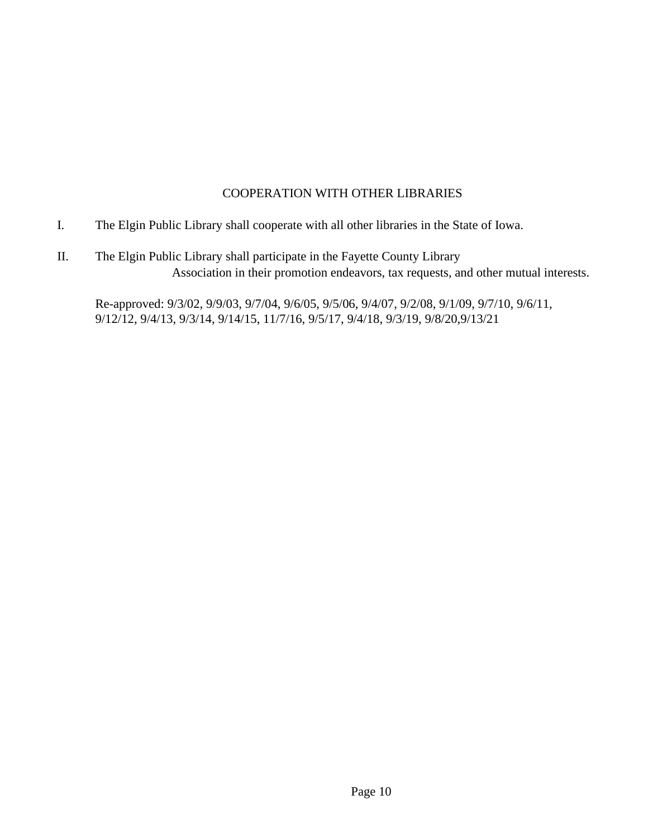#### COOPERATION WITH OTHER LIBRARIES

- I. The Elgin Public Library shall cooperate with all other libraries in the State of Iowa.
- II. The Elgin Public Library shall participate in the Fayette County Library Association in their promotion endeavors, tax requests, and other mutual interests.

Re-approved: 9/3/02, 9/9/03, 9/7/04, 9/6/05, 9/5/06, 9/4/07, 9/2/08, 9/1/09, 9/7/10, 9/6/11, 9/12/12, 9/4/13, 9/3/14, 9/14/15, 11/7/16, 9/5/17, 9/4/18, 9/3/19, 9/8/20,9/13/21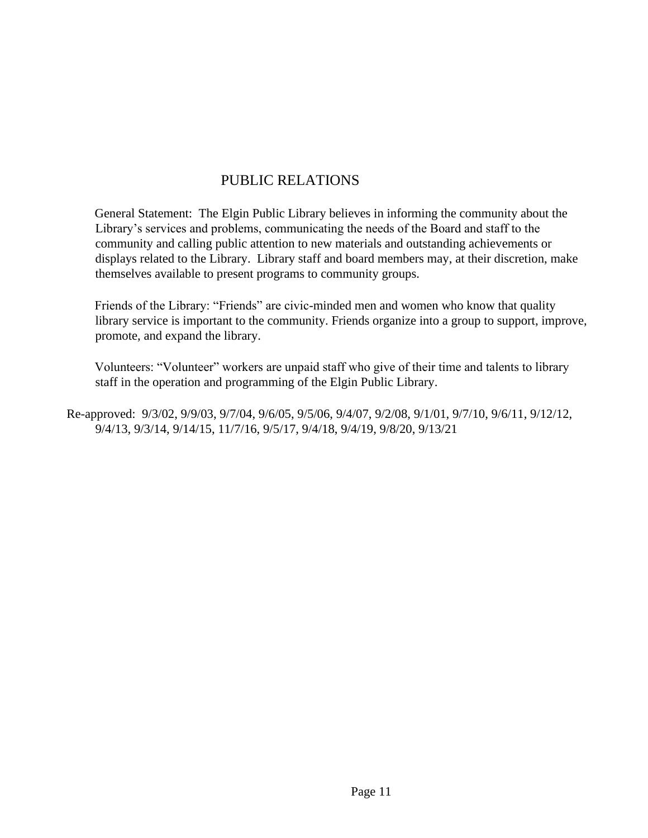## PUBLIC RELATIONS

General Statement: The Elgin Public Library believes in informing the community about the Library's services and problems, communicating the needs of the Board and staff to the community and calling public attention to new materials and outstanding achievements or displays related to the Library. Library staff and board members may, at their discretion, make themselves available to present programs to community groups.

Friends of the Library: "Friends" are civic-minded men and women who know that quality library service is important to the community. Friends organize into a group to support, improve, promote, and expand the library.

Volunteers: "Volunteer" workers are unpaid staff who give of their time and talents to library staff in the operation and programming of the Elgin Public Library.

Re-approved: 9/3/02, 9/9/03, 9/7/04, 9/6/05, 9/5/06, 9/4/07, 9/2/08, 9/1/01, 9/7/10, 9/6/11, 9/12/12, 9/4/13, 9/3/14, 9/14/15, 11/7/16, 9/5/17, 9/4/18, 9/4/19, 9/8/20, 9/13/21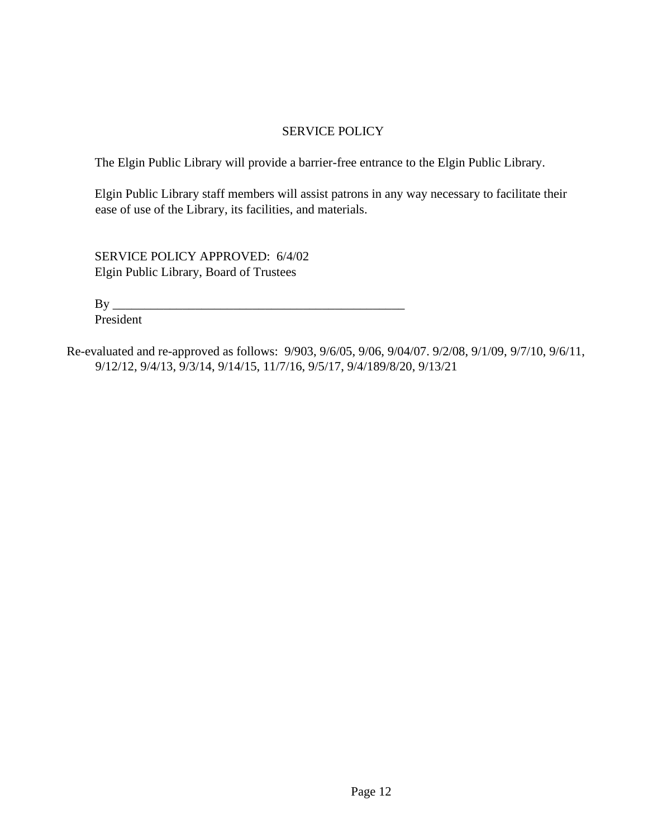#### SERVICE POLICY

The Elgin Public Library will provide a barrier-free entrance to the Elgin Public Library.

Elgin Public Library staff members will assist patrons in any way necessary to facilitate their ease of use of the Library, its facilities, and materials.

SERVICE POLICY APPROVED: 6/4/02 Elgin Public Library, Board of Trustees

 $\mathbf{By}$ 

President

Re-evaluated and re-approved as follows: 9/903, 9/6/05, 9/06, 9/04/07. 9/2/08, 9/1/09, 9/7/10, 9/6/11, 9/12/12, 9/4/13, 9/3/14, 9/14/15, 11/7/16, 9/5/17, 9/4/189/8/20, 9/13/21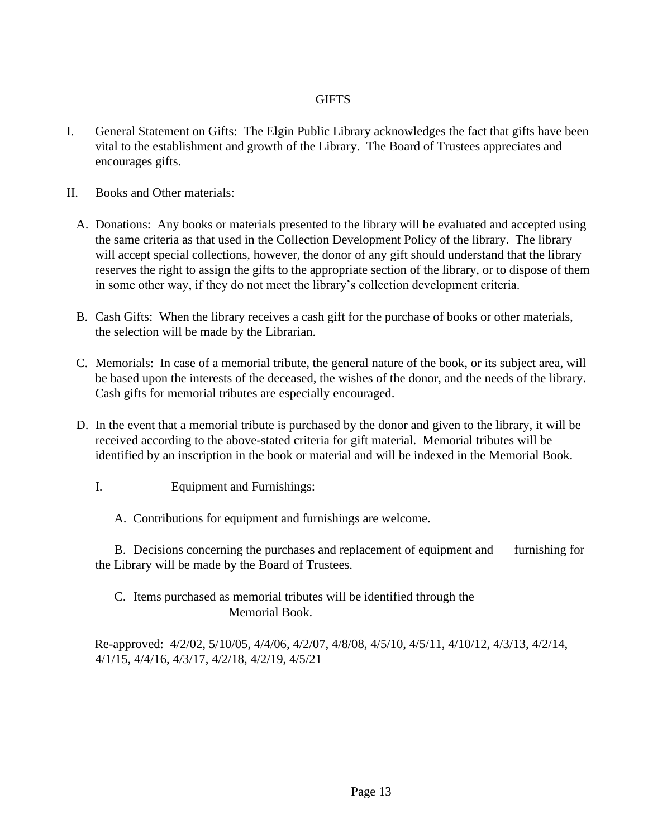#### **GIFTS**

- I. General Statement on Gifts: The Elgin Public Library acknowledges the fact that gifts have been vital to the establishment and growth of the Library. The Board of Trustees appreciates and encourages gifts.
- II. Books and Other materials:
	- A. Donations: Any books or materials presented to the library will be evaluated and accepted using the same criteria as that used in the Collection Development Policy of the library. The library will accept special collections, however, the donor of any gift should understand that the library reserves the right to assign the gifts to the appropriate section of the library, or to dispose of them in some other way, if they do not meet the library's collection development criteria.
	- B. Cash Gifts: When the library receives a cash gift for the purchase of books or other materials, the selection will be made by the Librarian.
	- C. Memorials: In case of a memorial tribute, the general nature of the book, or its subject area, will be based upon the interests of the deceased, the wishes of the donor, and the needs of the library. Cash gifts for memorial tributes are especially encouraged.
	- D. In the event that a memorial tribute is purchased by the donor and given to the library, it will be received according to the above-stated criteria for gift material. Memorial tributes will be identified by an inscription in the book or material and will be indexed in the Memorial Book.
		- I. Equipment and Furnishings:
			- A. Contributions for equipment and furnishings are welcome.

B. Decisions concerning the purchases and replacement of equipment and furnishing for the Library will be made by the Board of Trustees.

#### C. Items purchased as memorial tributes will be identified through the Memorial Book.

Re-approved: 4/2/02, 5/10/05, 4/4/06, 4/2/07, 4/8/08, 4/5/10, 4/5/11, 4/10/12, 4/3/13, 4/2/14, 4/1/15, 4/4/16, 4/3/17, 4/2/18, 4/2/19, 4/5/21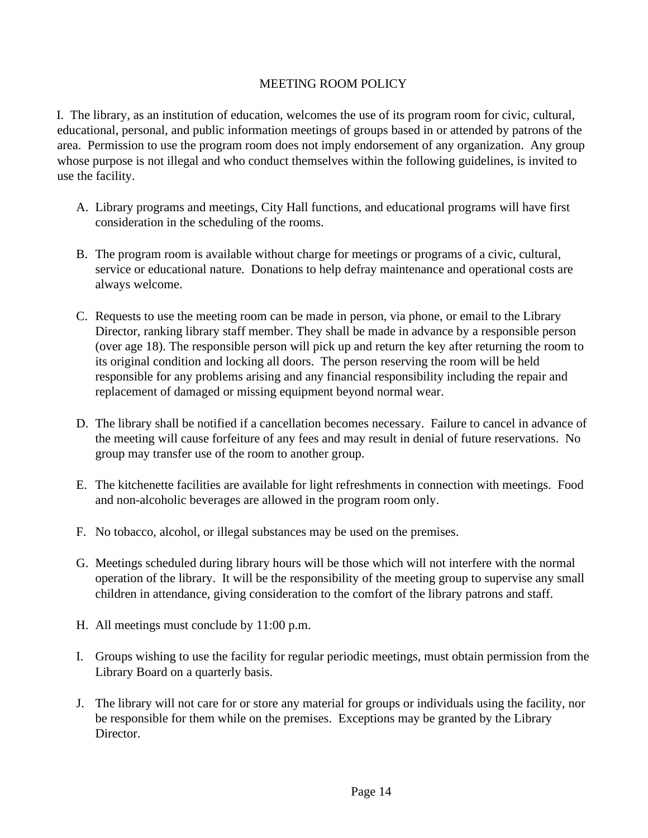#### MEETING ROOM POLICY

I. The library, as an institution of education, welcomes the use of its program room for civic, cultural, educational, personal, and public information meetings of groups based in or attended by patrons of the area. Permission to use the program room does not imply endorsement of any organization. Any group whose purpose is not illegal and who conduct themselves within the following guidelines, is invited to use the facility.

- A. Library programs and meetings, City Hall functions, and educational programs will have first consideration in the scheduling of the rooms.
- B. The program room is available without charge for meetings or programs of a civic, cultural, service or educational nature. Donations to help defray maintenance and operational costs are always welcome.
- C. Requests to use the meeting room can be made in person, via phone, or email to the Library Director, ranking library staff member. They shall be made in advance by a responsible person (over age 18). The responsible person will pick up and return the key after returning the room to its original condition and locking all doors. The person reserving the room will be held responsible for any problems arising and any financial responsibility including the repair and replacement of damaged or missing equipment beyond normal wear.
- D. The library shall be notified if a cancellation becomes necessary. Failure to cancel in advance of the meeting will cause forfeiture of any fees and may result in denial of future reservations. No group may transfer use of the room to another group.
- E. The kitchenette facilities are available for light refreshments in connection with meetings. Food and non-alcoholic beverages are allowed in the program room only.
- F. No tobacco, alcohol, or illegal substances may be used on the premises.
- G. Meetings scheduled during library hours will be those which will not interfere with the normal operation of the library. It will be the responsibility of the meeting group to supervise any small children in attendance, giving consideration to the comfort of the library patrons and staff.
- H. All meetings must conclude by 11:00 p.m.
- I. Groups wishing to use the facility for regular periodic meetings, must obtain permission from the Library Board on a quarterly basis.
- J. The library will not care for or store any material for groups or individuals using the facility, nor be responsible for them while on the premises. Exceptions may be granted by the Library Director.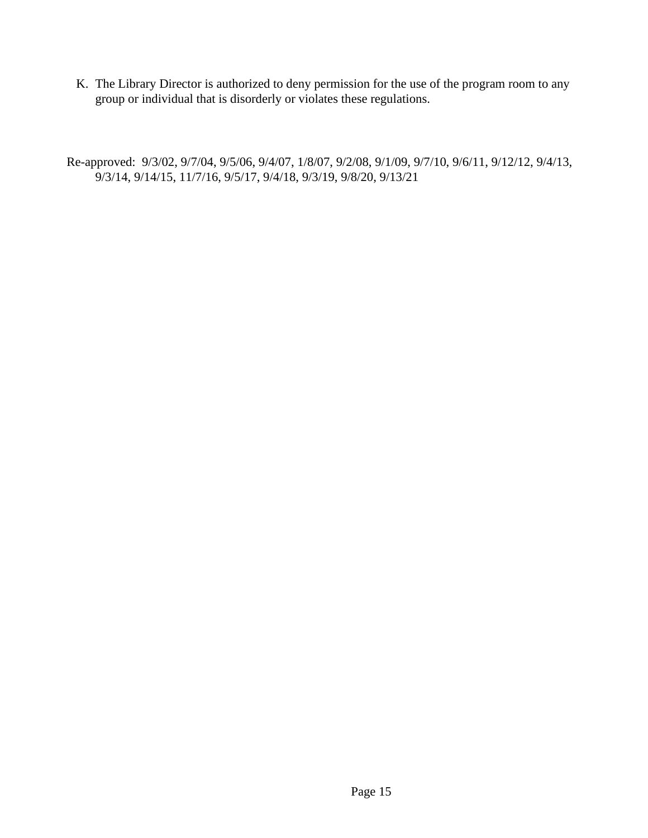K. The Library Director is authorized to deny permission for the use of the program room to any group or individual that is disorderly or violates these regulations.

Re-approved: 9/3/02, 9/7/04, 9/5/06, 9/4/07, 1/8/07, 9/2/08, 9/1/09, 9/7/10, 9/6/11, 9/12/12, 9/4/13, 9/3/14, 9/14/15, 11/7/16, 9/5/17, 9/4/18, 9/3/19, 9/8/20, 9/13/21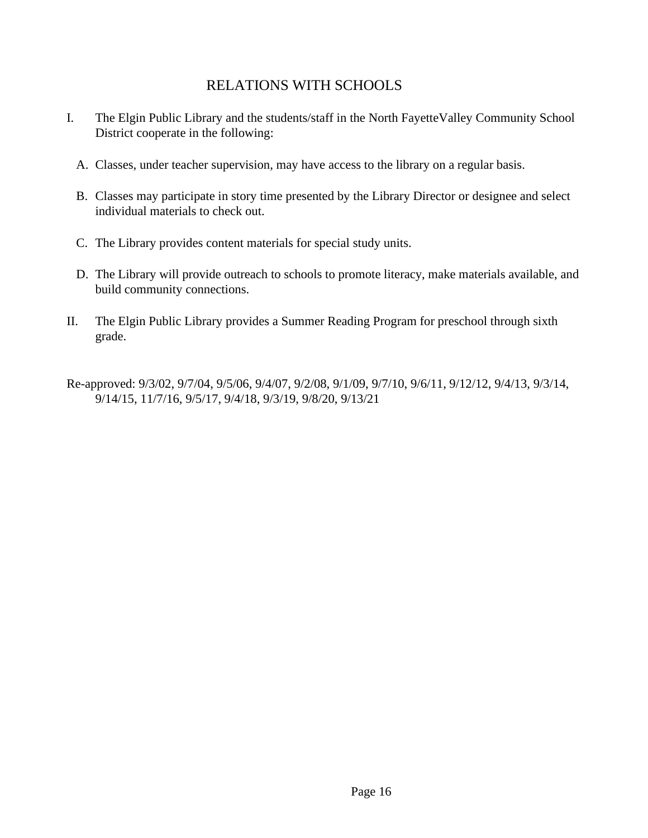## RELATIONS WITH SCHOOLS

- I. The Elgin Public Library and the students/staff in the North FayetteValley Community School District cooperate in the following:
	- A. Classes, under teacher supervision, may have access to the library on a regular basis.
	- B. Classes may participate in story time presented by the Library Director or designee and select individual materials to check out.
	- C. The Library provides content materials for special study units.
	- D. The Library will provide outreach to schools to promote literacy, make materials available, and build community connections.
- II. The Elgin Public Library provides a Summer Reading Program for preschool through sixth grade.

Re-approved: 9/3/02, 9/7/04, 9/5/06, 9/4/07, 9/2/08, 9/1/09, 9/7/10, 9/6/11, 9/12/12, 9/4/13, 9/3/14, 9/14/15, 11/7/16, 9/5/17, 9/4/18, 9/3/19, 9/8/20, 9/13/21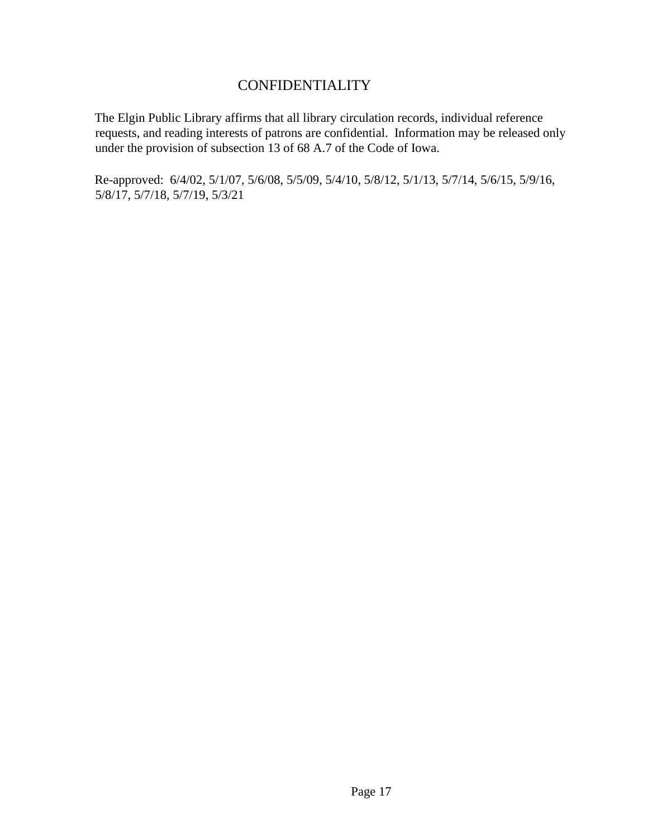## CONFIDENTIALITY

The Elgin Public Library affirms that all library circulation records, individual reference requests, and reading interests of patrons are confidential. Information may be released only under the provision of subsection 13 of 68 A.7 of the Code of Iowa.

Re-approved: 6/4/02, 5/1/07, 5/6/08, 5/5/09, 5/4/10, 5/8/12, 5/1/13, 5/7/14, 5/6/15, 5/9/16, 5/8/17, 5/7/18, 5/7/19, 5/3/21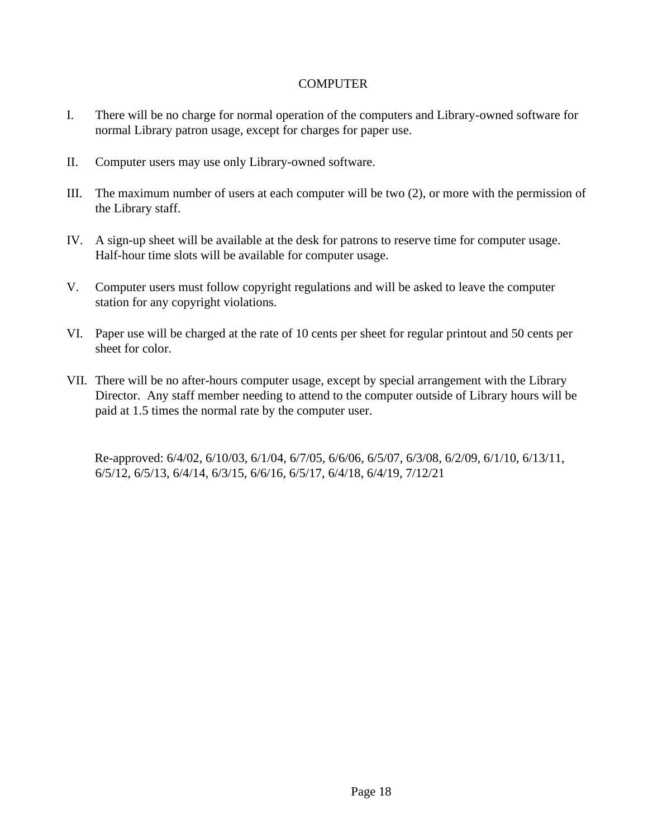#### **COMPUTER**

- I. There will be no charge for normal operation of the computers and Library-owned software for normal Library patron usage, except for charges for paper use.
- II. Computer users may use only Library-owned software.
- III. The maximum number of users at each computer will be two (2), or more with the permission of the Library staff.
- IV. A sign-up sheet will be available at the desk for patrons to reserve time for computer usage. Half-hour time slots will be available for computer usage.
- V. Computer users must follow copyright regulations and will be asked to leave the computer station for any copyright violations.
- VI. Paper use will be charged at the rate of 10 cents per sheet for regular printout and 50 cents per sheet for color.
- VII. There will be no after-hours computer usage, except by special arrangement with the Library Director. Any staff member needing to attend to the computer outside of Library hours will be paid at 1.5 times the normal rate by the computer user.

Re-approved: 6/4/02, 6/10/03, 6/1/04, 6/7/05, 6/6/06, 6/5/07, 6/3/08, 6/2/09, 6/1/10, 6/13/11, 6/5/12, 6/5/13, 6/4/14, 6/3/15, 6/6/16, 6/5/17, 6/4/18, 6/4/19, 7/12/21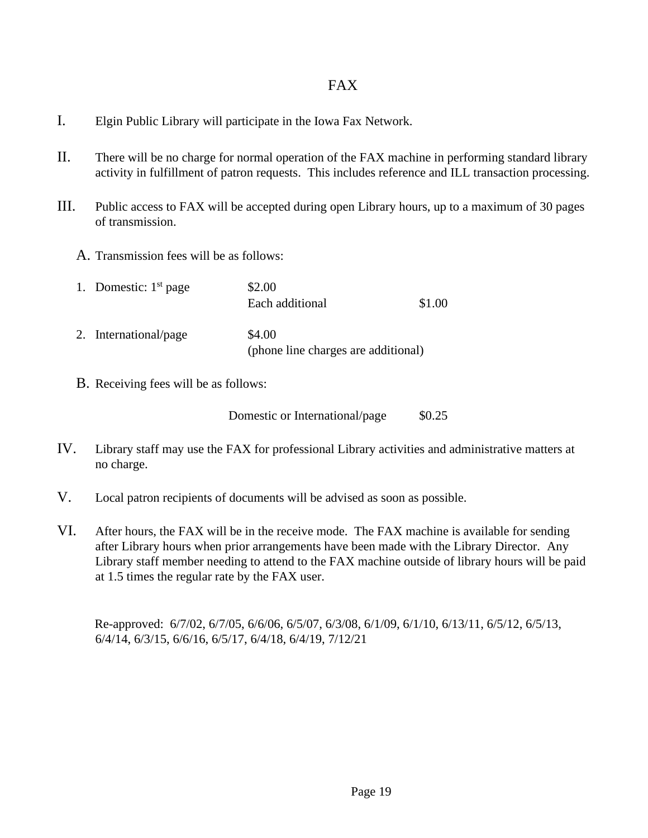#### FAX

- I. Elgin Public Library will participate in the Iowa Fax Network.
- II. There will be no charge for normal operation of the FAX machine in performing standard library activity in fulfillment of patron requests. This includes reference and ILL transaction processing.
- III. Public access to FAX will be accepted during open Library hours, up to a maximum of 30 pages of transmission.
	- A. Transmission fees will be as follows:

| 1. Domestic: $1st$ page | \$2.00<br>Each additional                     | \$1.00 |
|-------------------------|-----------------------------------------------|--------|
| 2. International/page   | \$4.00<br>(phone line charges are additional) |        |

B. Receiving fees will be as follows:

Domestic or International/page \$0.25

- IV. Library staff may use the FAX for professional Library activities and administrative matters at no charge.
- V. Local patron recipients of documents will be advised as soon as possible.
- VI. After hours, the FAX will be in the receive mode. The FAX machine is available for sending after Library hours when prior arrangements have been made with the Library Director. Any Library staff member needing to attend to the FAX machine outside of library hours will be paid at 1.5 times the regular rate by the FAX user.

Re-approved: 6/7/02, 6/7/05, 6/6/06, 6/5/07, 6/3/08, 6/1/09, 6/1/10, 6/13/11, 6/5/12, 6/5/13, 6/4/14, 6/3/15, 6/6/16, 6/5/17, 6/4/18, 6/4/19, 7/12/21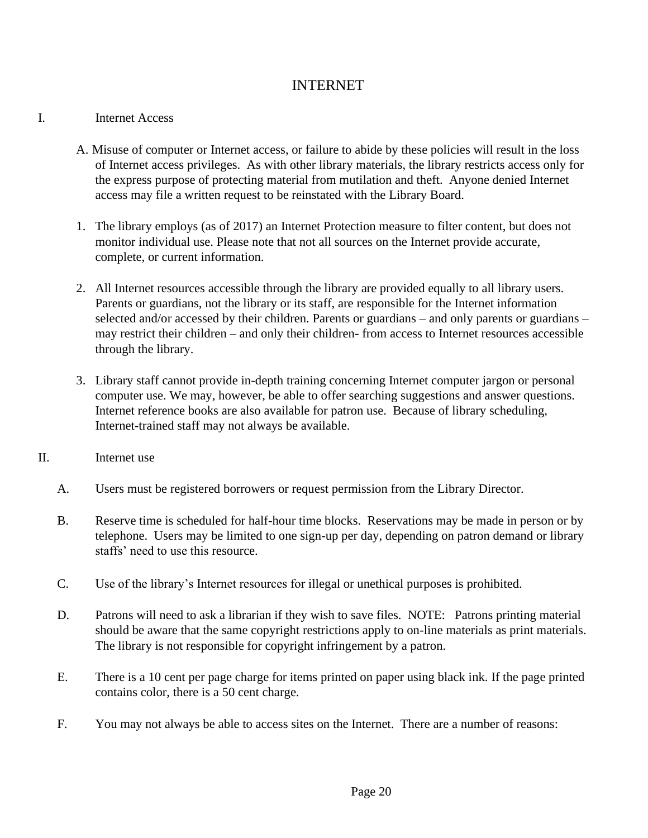## INTERNET

#### I. Internet Access

- A. Misuse of computer or Internet access, or failure to abide by these policies will result in the loss of Internet access privileges. As with other library materials, the library restricts access only for the express purpose of protecting material from mutilation and theft. Anyone denied Internet access may file a written request to be reinstated with the Library Board.
- 1. The library employs (as of 2017) an Internet Protection measure to filter content, but does not monitor individual use. Please note that not all sources on the Internet provide accurate, complete, or current information.
- 2. All Internet resources accessible through the library are provided equally to all library users. Parents or guardians, not the library or its staff, are responsible for the Internet information selected and/or accessed by their children. Parents or guardians – and only parents or guardians – may restrict their children – and only their children- from access to Internet resources accessible through the library.
- 3. Library staff cannot provide in-depth training concerning Internet computer jargon or personal computer use. We may, however, be able to offer searching suggestions and answer questions. Internet reference books are also available for patron use. Because of library scheduling, Internet-trained staff may not always be available.
- II. Internet use
	- A. Users must be registered borrowers or request permission from the Library Director.
	- B. Reserve time is scheduled for half-hour time blocks. Reservations may be made in person or by telephone. Users may be limited to one sign-up per day, depending on patron demand or library staffs' need to use this resource.
	- C. Use of the library's Internet resources for illegal or unethical purposes is prohibited.
	- D. Patrons will need to ask a librarian if they wish to save files. NOTE: Patrons printing material should be aware that the same copyright restrictions apply to on-line materials as print materials. The library is not responsible for copyright infringement by a patron.
	- E. There is a 10 cent per page charge for items printed on paper using black ink. If the page printed contains color, there is a 50 cent charge.
	- F. You may not always be able to access sites on the Internet. There are a number of reasons: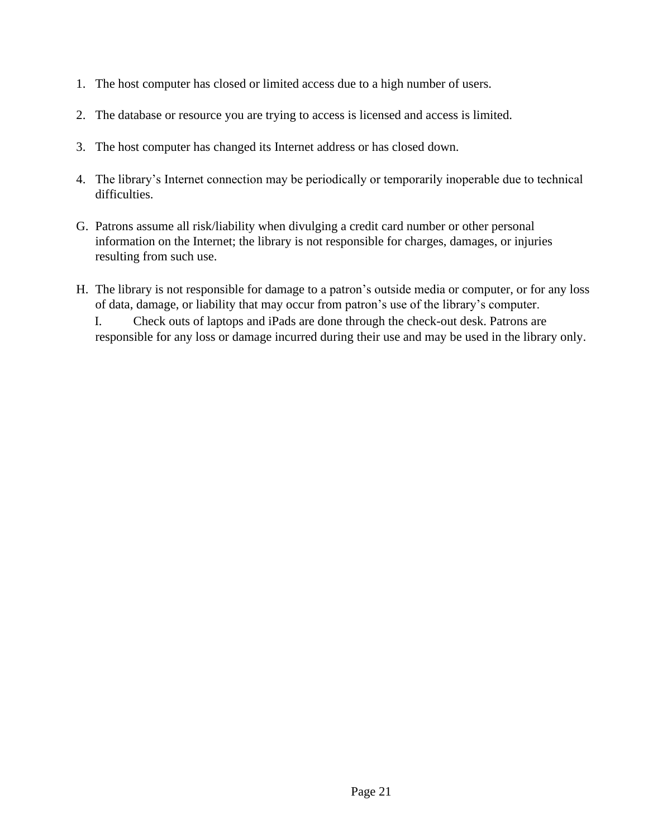- 1. The host computer has closed or limited access due to a high number of users.
- 2. The database or resource you are trying to access is licensed and access is limited.
- 3. The host computer has changed its Internet address or has closed down.
- 4. The library's Internet connection may be periodically or temporarily inoperable due to technical difficulties.
- G. Patrons assume all risk/liability when divulging a credit card number or other personal information on the Internet; the library is not responsible for charges, damages, or injuries resulting from such use.
- H. The library is not responsible for damage to a patron's outside media or computer, or for any loss of data, damage, or liability that may occur from patron's use of the library's computer.

I. Check outs of laptops and iPads are done through the check-out desk. Patrons are responsible for any loss or damage incurred during their use and may be used in the library only.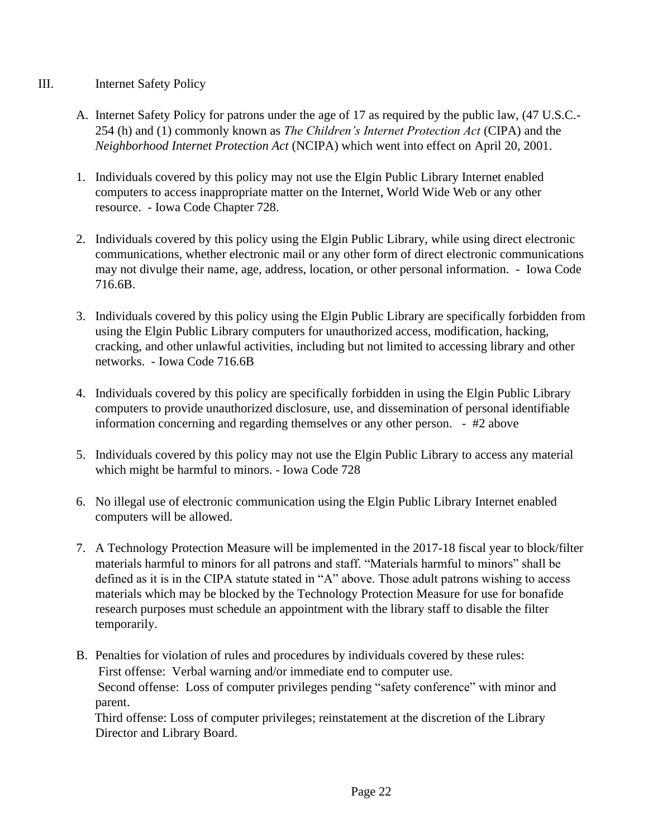#### III. Internet Safety Policy

- A. Internet Safety Policy for patrons under the age of 17 as required by the public law, (47 U.S.C.- 254 (h) and (1) commonly known as *The Children's Internet Protection Act* (CIPA) and the *Neighborhood Internet Protection Act* (NCIPA) which went into effect on April 20, 2001.
- 1. Individuals covered by this policy may not use the Elgin Public Library Internet enabled computers to access inappropriate matter on the Internet, World Wide Web or any other resource. - Iowa Code Chapter 728.
- 2. Individuals covered by this policy using the Elgin Public Library, while using direct electronic communications, whether electronic mail or any other form of direct electronic communications may not divulge their name, age, address, location, or other personal information. - Iowa Code 716.6B.
- 3. Individuals covered by this policy using the Elgin Public Library are specifically forbidden from using the Elgin Public Library computers for unauthorized access, modification, hacking, cracking, and other unlawful activities, including but not limited to accessing library and other networks. - Iowa Code 716.6B
- 4. Individuals covered by this policy are specifically forbidden in using the Elgin Public Library computers to provide unauthorized disclosure, use, and dissemination of personal identifiable information concerning and regarding themselves or any other person. - #2 above
- 5. Individuals covered by this policy may not use the Elgin Public Library to access any material which might be harmful to minors. - Iowa Code 728
- 6. No illegal use of electronic communication using the Elgin Public Library Internet enabled computers will be allowed.
- 7. A Technology Protection Measure will be implemented in the 2017-18 fiscal year to block/filter materials harmful to minors for all patrons and staff. "Materials harmful to minors" shall be defined as it is in the CIPA statute stated in "A" above. Those adult patrons wishing to access materials which may be blocked by the Technology Protection Measure for use for bonafide research purposes must schedule an appointment with the library staff to disable the filter temporarily.
- B. Penalties for violation of rules and procedures by individuals covered by these rules: First offense: Verbal warning and/or immediate end to computer use. Second offense: Loss of computer privileges pending "safety conference" with minor and parent.

Third offense: Loss of computer privileges; reinstatement at the discretion of the Library Director and Library Board.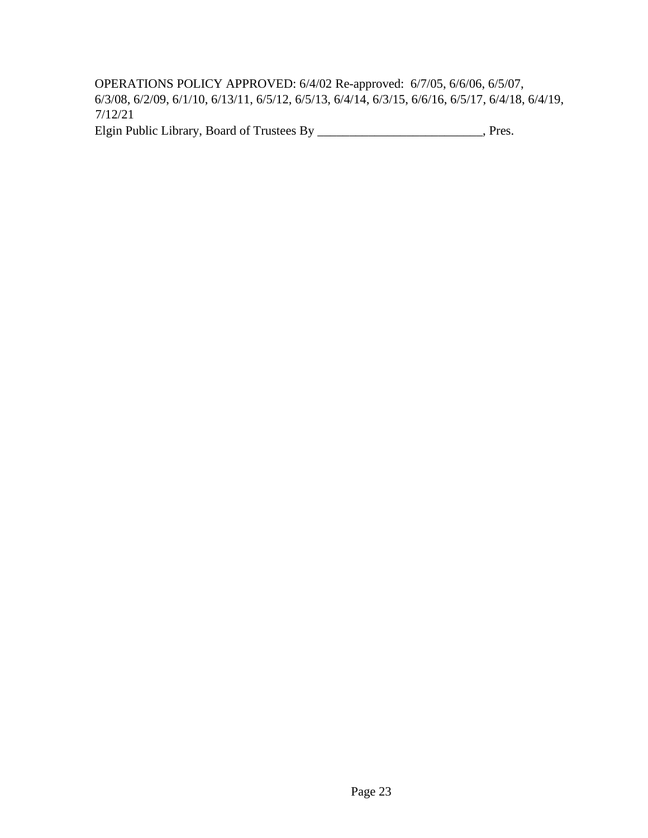OPERATIONS POLICY APPROVED: 6/4/02 Re-approved: 6/7/05, 6/6/06, 6/5/07, 6/3/08, 6/2/09, 6/1/10, 6/13/11, 6/5/12, 6/5/13, 6/4/14, 6/3/15, 6/6/16, 6/5/17, 6/4/18, 6/4/19, 7/12/21

Elgin Public Library, Board of Trustees By \_\_\_\_\_\_\_\_\_\_\_\_\_\_\_\_\_\_\_\_\_\_\_\_, Pres.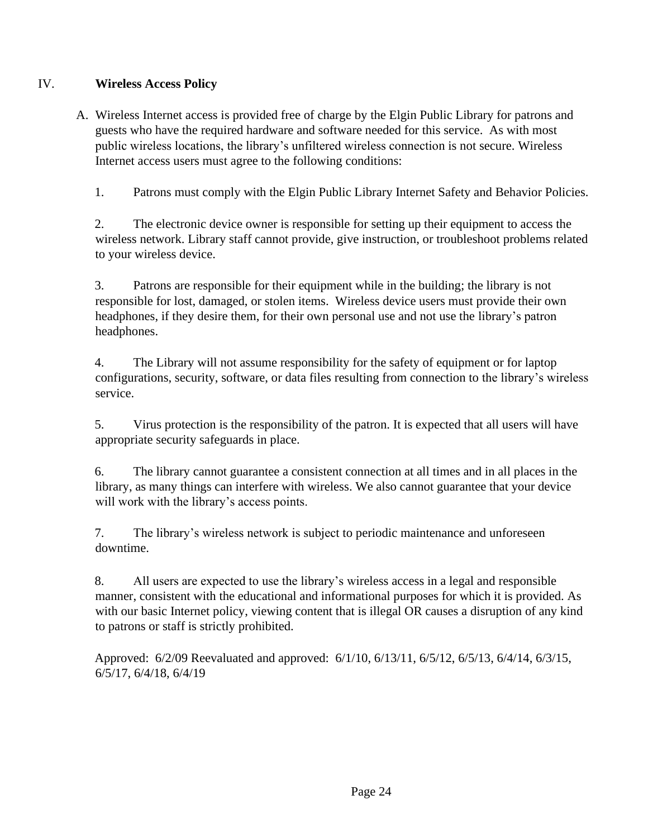#### IV. **Wireless Access Policy**

A. Wireless Internet access is provided free of charge by the Elgin Public Library for patrons and guests who have the required hardware and software needed for this service. As with most public wireless locations, the library's unfiltered wireless connection is not secure. Wireless Internet access users must agree to the following conditions:

1. Patrons must comply with the Elgin Public Library Internet Safety and Behavior Policies.

2. The electronic device owner is responsible for setting up their equipment to access the wireless network. Library staff cannot provide, give instruction, or troubleshoot problems related to your wireless device.

3. Patrons are responsible for their equipment while in the building; the library is not responsible for lost, damaged, or stolen items. Wireless device users must provide their own headphones, if they desire them, for their own personal use and not use the library's patron headphones.

4. The Library will not assume responsibility for the safety of equipment or for laptop configurations, security, software, or data files resulting from connection to the library's wireless service.

5. Virus protection is the responsibility of the patron. It is expected that all users will have appropriate security safeguards in place.

6. The library cannot guarantee a consistent connection at all times and in all places in the library, as many things can interfere with wireless. We also cannot guarantee that your device will work with the library's access points.

7. The library's wireless network is subject to periodic maintenance and unforeseen downtime.

8. All users are expected to use the library's wireless access in a legal and responsible manner, consistent with the educational and informational purposes for which it is provided. As with our basic Internet policy, viewing content that is illegal OR causes a disruption of any kind to patrons or staff is strictly prohibited.

Approved: 6/2/09 Reevaluated and approved: 6/1/10, 6/13/11, 6/5/12, 6/5/13, 6/4/14, 6/3/15, 6/5/17, 6/4/18, 6/4/19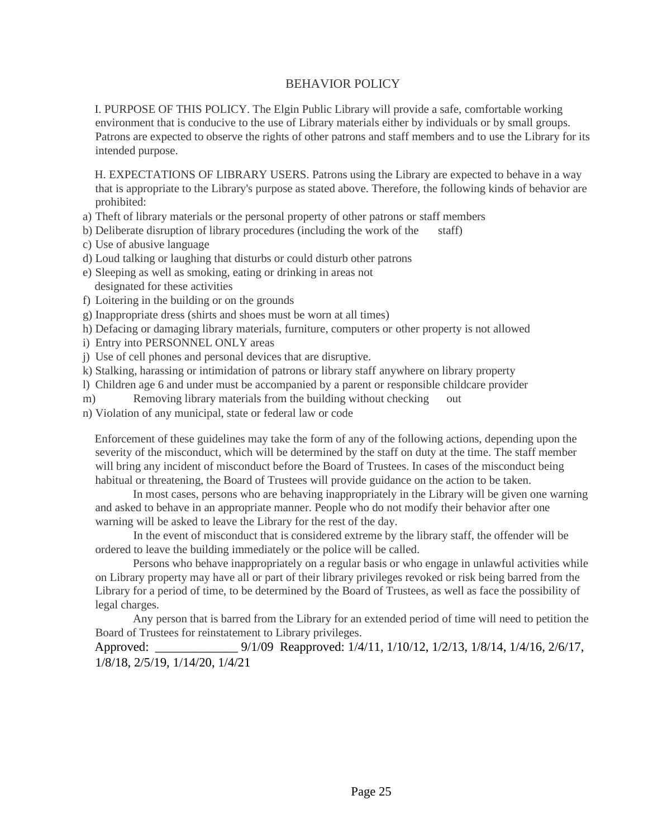#### BEHAVIOR POLICY

I. PURPOSE OF THIS POLICY. The Elgin Public Library will provide a safe, comfortable working environment that is conducive to the use of Library materials either by individuals or by small groups. Patrons are expected to observe the rights of other patrons and staff members and to use the Library for its intended purpose.

H. EXPECTATIONS OF LIBRARY USERS. Patrons using the Library are expected to behave in a way that is appropriate to the Library's purpose as stated above. Therefore, the following kinds of behavior are prohibited:

- a) Theft of library materials or the personal property of other patrons or staff members
- b) Deliberate disruption of library procedures (including the work of the staff)
- c) Use of abusive language
- d) Loud talking or laughing that disturbs or could disturb other patrons
- e) Sleeping as well as smoking, eating or drinking in areas not designated for these activities
- f) Loitering in the building or on the grounds
- g) Inappropriate dress (shirts and shoes must be worn at all times)
- h) Defacing or damaging library materials, furniture, computers or other property is not allowed
- i) Entry into PERSONNEL ONLY areas
- j) Use of cell phones and personal devices that are disruptive.
- k) Stalking, harassing or intimidation of patrons or library staff anywhere on library property
- l) Children age 6 and under must be accompanied by a parent or responsible childcare provider
- m) Removing library materials from the building without checking out
- n) Violation of any municipal, state or federal law or code

Enforcement of these guidelines may take the form of any of the following actions, depending upon the severity of the misconduct, which will be determined by the staff on duty at the time. The staff member will bring any incident of misconduct before the Board of Trustees. In cases of the misconduct being habitual or threatening, the Board of Trustees will provide guidance on the action to be taken.

In most cases, persons who are behaving inappropriately in the Library will be given one warning and asked to behave in an appropriate manner. People who do not modify their behavior after one warning will be asked to leave the Library for the rest of the day.

In the event of misconduct that is considered extreme by the library staff, the offender will be ordered to leave the building immediately or the police will be called.

Persons who behave inappropriately on a regular basis or who engage in unlawful activities while on Library property may have all or part of their library privileges revoked or risk being barred from the Library for a period of time, to be determined by the Board of Trustees, as well as face the possibility of legal charges.

Any person that is barred from the Library for an extended period of time will need to petition the Board of Trustees for reinstatement to Library privileges.

Approved: 9/1/09 Reapproved: 1/4/11, 1/10/12, 1/2/13, 1/8/14, 1/4/16, 2/6/17, 1/8/18, 2/5/19, 1/14/20, 1/4/21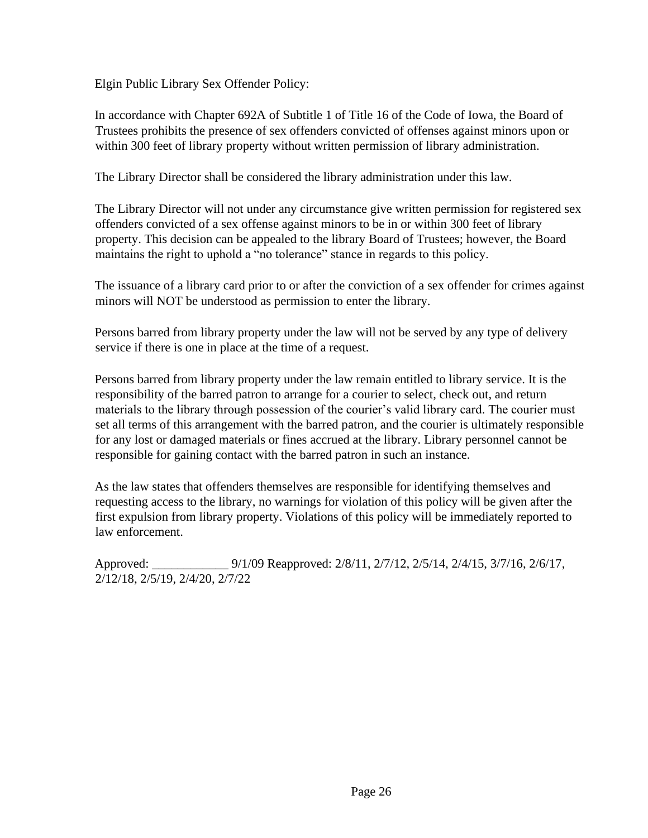Elgin Public Library Sex Offender Policy:

In accordance with Chapter 692A of Subtitle 1 of Title 16 of the Code of Iowa, the Board of Trustees prohibits the presence of sex offenders convicted of offenses against minors upon or within 300 feet of library property without written permission of library administration.

The Library Director shall be considered the library administration under this law.

The Library Director will not under any circumstance give written permission for registered sex offenders convicted of a sex offense against minors to be in or within 300 feet of library property. This decision can be appealed to the library Board of Trustees; however, the Board maintains the right to uphold a "no tolerance" stance in regards to this policy.

The issuance of a library card prior to or after the conviction of a sex offender for crimes against minors will NOT be understood as permission to enter the library.

Persons barred from library property under the law will not be served by any type of delivery service if there is one in place at the time of a request.

Persons barred from library property under the law remain entitled to library service. It is the responsibility of the barred patron to arrange for a courier to select, check out, and return materials to the library through possession of the courier's valid library card. The courier must set all terms of this arrangement with the barred patron, and the courier is ultimately responsible for any lost or damaged materials or fines accrued at the library. Library personnel cannot be responsible for gaining contact with the barred patron in such an instance.

As the law states that offenders themselves are responsible for identifying themselves and requesting access to the library, no warnings for violation of this policy will be given after the first expulsion from library property. Violations of this policy will be immediately reported to law enforcement.

Approved: \_\_\_\_\_\_\_\_\_\_\_\_ 9/1/09 Reapproved: 2/8/11, 2/7/12, 2/5/14, 2/4/15, 3/7/16, 2/6/17, 2/12/18, 2/5/19, 2/4/20, 2/7/22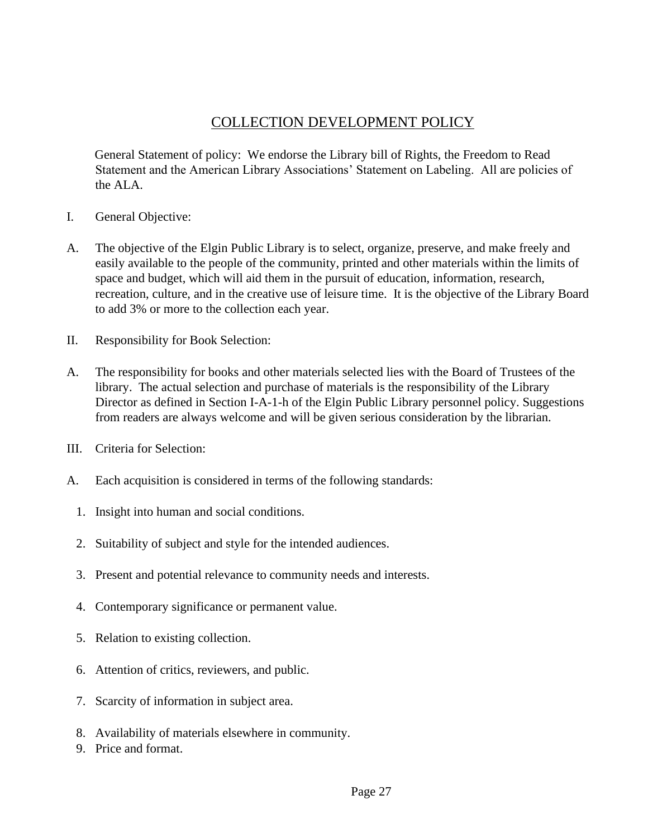## COLLECTION DEVELOPMENT POLICY

General Statement of policy: We endorse the Library bill of Rights, the Freedom to Read Statement and the American Library Associations' Statement on Labeling. All are policies of the ALA.

- I. General Objective:
- A. The objective of the Elgin Public Library is to select, organize, preserve, and make freely and easily available to the people of the community, printed and other materials within the limits of space and budget, which will aid them in the pursuit of education, information, research, recreation, culture, and in the creative use of leisure time. It is the objective of the Library Board to add 3% or more to the collection each year.
- II. Responsibility for Book Selection:
- A. The responsibility for books and other materials selected lies with the Board of Trustees of the library. The actual selection and purchase of materials is the responsibility of the Library Director as defined in Section I-A-1-h of the Elgin Public Library personnel policy. Suggestions from readers are always welcome and will be given serious consideration by the librarian.
- III. Criteria for Selection:
- A. Each acquisition is considered in terms of the following standards:
	- 1. Insight into human and social conditions.
	- 2. Suitability of subject and style for the intended audiences.
	- 3. Present and potential relevance to community needs and interests.
	- 4. Contemporary significance or permanent value.
	- 5. Relation to existing collection.
	- 6. Attention of critics, reviewers, and public.
	- 7. Scarcity of information in subject area.
	- 8. Availability of materials elsewhere in community.
	- 9. Price and format.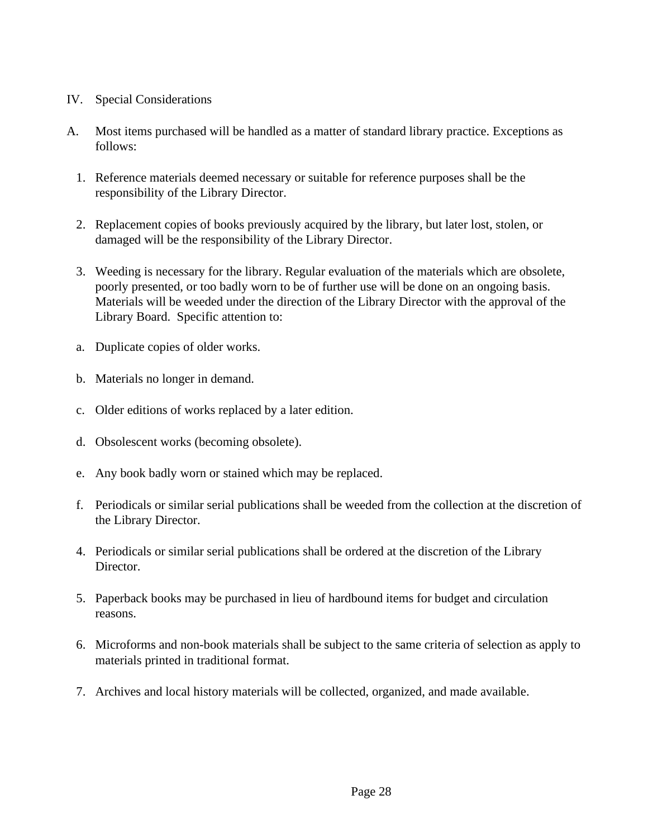- IV. Special Considerations
- A. Most items purchased will be handled as a matter of standard library practice. Exceptions as follows:
	- 1. Reference materials deemed necessary or suitable for reference purposes shall be the responsibility of the Library Director.
	- 2. Replacement copies of books previously acquired by the library, but later lost, stolen, or damaged will be the responsibility of the Library Director.
	- 3. Weeding is necessary for the library. Regular evaluation of the materials which are obsolete, poorly presented, or too badly worn to be of further use will be done on an ongoing basis. Materials will be weeded under the direction of the Library Director with the approval of the Library Board. Specific attention to:
	- a. Duplicate copies of older works.
	- b. Materials no longer in demand.
	- c. Older editions of works replaced by a later edition.
	- d. Obsolescent works (becoming obsolete).
	- e. Any book badly worn or stained which may be replaced.
	- f. Periodicals or similar serial publications shall be weeded from the collection at the discretion of the Library Director.
	- 4. Periodicals or similar serial publications shall be ordered at the discretion of the Library Director.
	- 5. Paperback books may be purchased in lieu of hardbound items for budget and circulation reasons.
	- 6. Microforms and non-book materials shall be subject to the same criteria of selection as apply to materials printed in traditional format.
	- 7. Archives and local history materials will be collected, organized, and made available.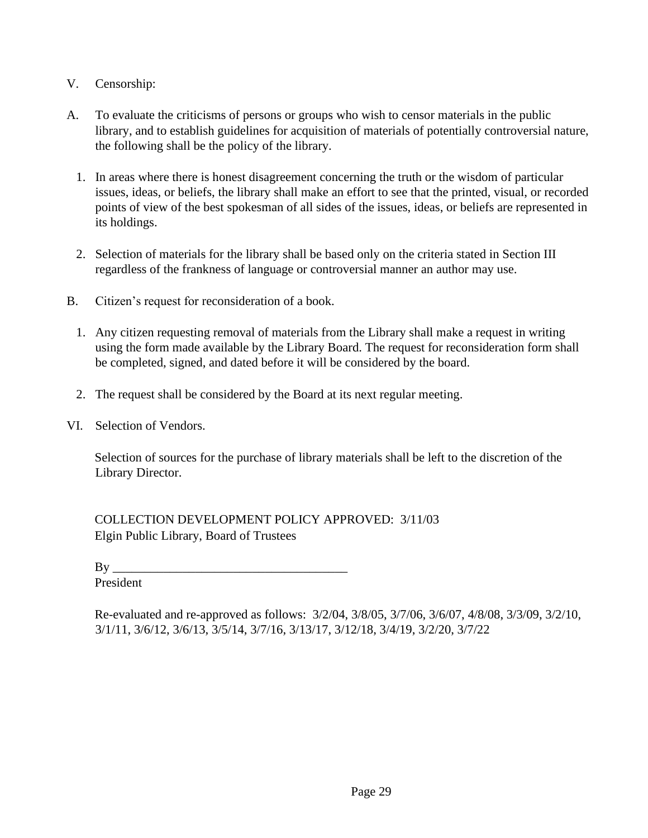#### V. Censorship:

- A. To evaluate the criticisms of persons or groups who wish to censor materials in the public library, and to establish guidelines for acquisition of materials of potentially controversial nature, the following shall be the policy of the library.
	- 1. In areas where there is honest disagreement concerning the truth or the wisdom of particular issues, ideas, or beliefs, the library shall make an effort to see that the printed, visual, or recorded points of view of the best spokesman of all sides of the issues, ideas, or beliefs are represented in its holdings.
	- 2. Selection of materials for the library shall be based only on the criteria stated in Section III regardless of the frankness of language or controversial manner an author may use.
- B. Citizen's request for reconsideration of a book.
	- 1. Any citizen requesting removal of materials from the Library shall make a request in writing using the form made available by the Library Board. The request for reconsideration form shall be completed, signed, and dated before it will be considered by the board.
	- 2. The request shall be considered by the Board at its next regular meeting.
- VI. Selection of Vendors.

Selection of sources for the purchase of library materials shall be left to the discretion of the Library Director.

COLLECTION DEVELOPMENT POLICY APPROVED: 3/11/03 Elgin Public Library, Board of Trustees

 $\mathbf{B} \mathbf{v}$ 

President

Re-evaluated and re-approved as follows: 3/2/04, 3/8/05, 3/7/06, 3/6/07, 4/8/08, 3/3/09, 3/2/10, 3/1/11, 3/6/12, 3/6/13, 3/5/14, 3/7/16, 3/13/17, 3/12/18, 3/4/19, 3/2/20, 3/7/22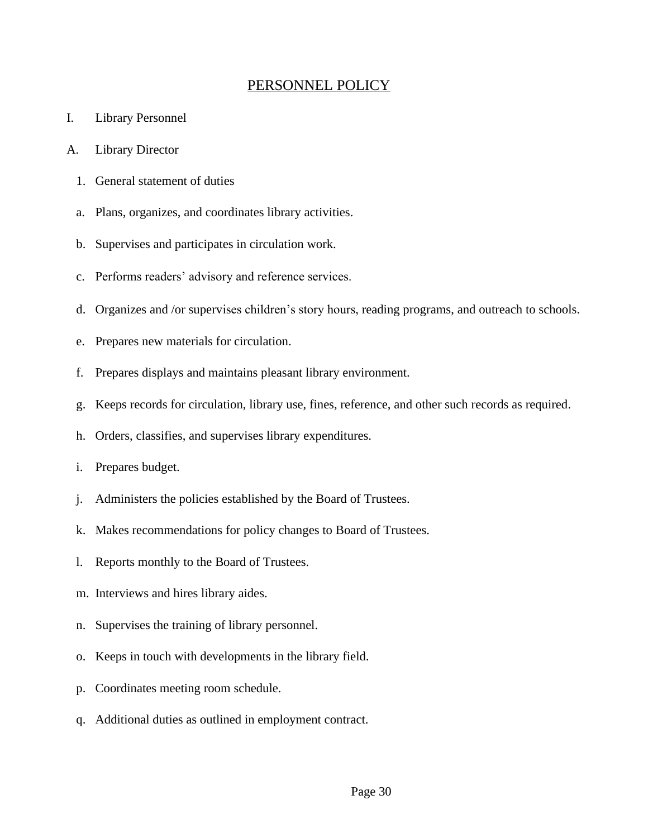## PERSONNEL POLICY

- I. Library Personnel
- A. Library Director
	- 1. General statement of duties
	- a. Plans, organizes, and coordinates library activities.
	- b. Supervises and participates in circulation work.
	- c. Performs readers' advisory and reference services.
	- d. Organizes and /or supervises children's story hours, reading programs, and outreach to schools.
	- e. Prepares new materials for circulation.
	- f. Prepares displays and maintains pleasant library environment.
	- g. Keeps records for circulation, library use, fines, reference, and other such records as required.
	- h. Orders, classifies, and supervises library expenditures.
	- i. Prepares budget.
	- j. Administers the policies established by the Board of Trustees.
	- k. Makes recommendations for policy changes to Board of Trustees.
	- l. Reports monthly to the Board of Trustees.
	- m. Interviews and hires library aides.
	- n. Supervises the training of library personnel.
	- o. Keeps in touch with developments in the library field.
	- p. Coordinates meeting room schedule.
	- q. Additional duties as outlined in employment contract.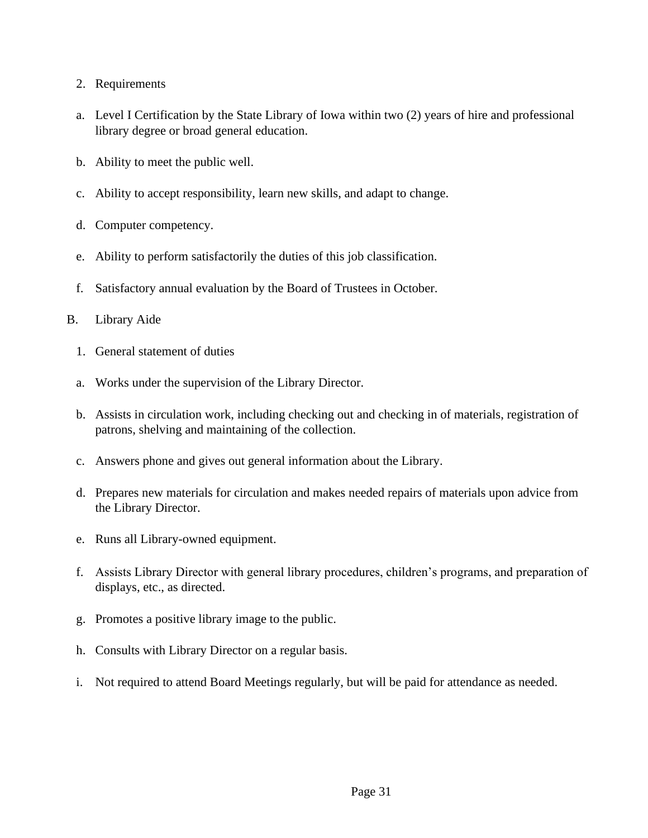- 2. Requirements
- a. Level I Certification by the State Library of Iowa within two (2) years of hire and professional library degree or broad general education.
- b. Ability to meet the public well.
- c. Ability to accept responsibility, learn new skills, and adapt to change.
- d. Computer competency.
- e. Ability to perform satisfactorily the duties of this job classification.
- f. Satisfactory annual evaluation by the Board of Trustees in October.
- B. Library Aide
	- 1. General statement of duties
	- a. Works under the supervision of the Library Director.
	- b. Assists in circulation work, including checking out and checking in of materials, registration of patrons, shelving and maintaining of the collection.
	- c. Answers phone and gives out general information about the Library.
	- d. Prepares new materials for circulation and makes needed repairs of materials upon advice from the Library Director.
	- e. Runs all Library-owned equipment.
	- f. Assists Library Director with general library procedures, children's programs, and preparation of displays, etc., as directed.
	- g. Promotes a positive library image to the public.
	- h. Consults with Library Director on a regular basis.
	- i. Not required to attend Board Meetings regularly, but will be paid for attendance as needed.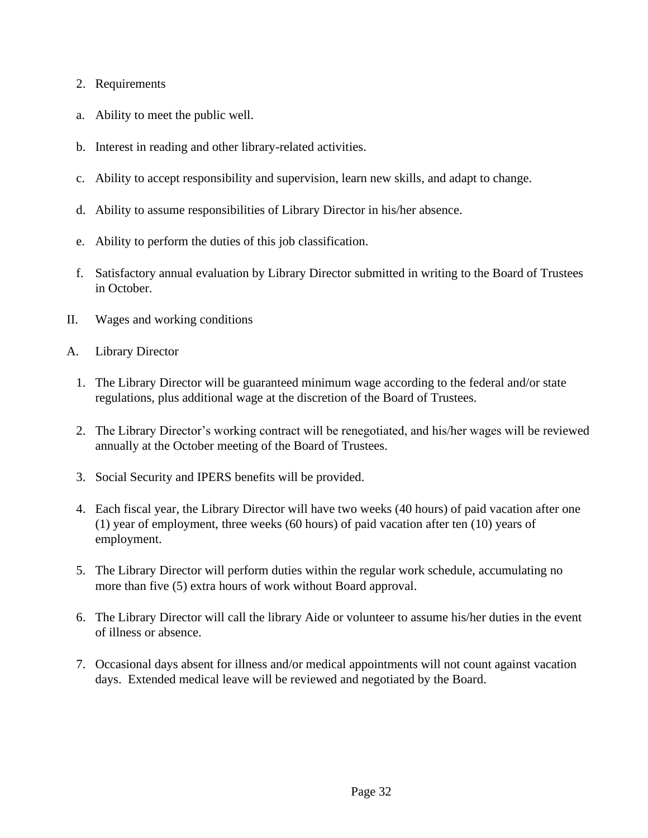- 2. Requirements
- a. Ability to meet the public well.
- b. Interest in reading and other library-related activities.
- c. Ability to accept responsibility and supervision, learn new skills, and adapt to change.
- d. Ability to assume responsibilities of Library Director in his/her absence.
- e. Ability to perform the duties of this job classification.
- f. Satisfactory annual evaluation by Library Director submitted in writing to the Board of Trustees in October.
- II. Wages and working conditions
- A. Library Director
	- 1. The Library Director will be guaranteed minimum wage according to the federal and/or state regulations, plus additional wage at the discretion of the Board of Trustees.
	- 2. The Library Director's working contract will be renegotiated, and his/her wages will be reviewed annually at the October meeting of the Board of Trustees.
	- 3. Social Security and IPERS benefits will be provided.
	- 4. Each fiscal year, the Library Director will have two weeks (40 hours) of paid vacation after one (1) year of employment, three weeks (60 hours) of paid vacation after ten (10) years of employment.
	- 5. The Library Director will perform duties within the regular work schedule, accumulating no more than five (5) extra hours of work without Board approval.
	- 6. The Library Director will call the library Aide or volunteer to assume his/her duties in the event of illness or absence.
	- 7. Occasional days absent for illness and/or medical appointments will not count against vacation days. Extended medical leave will be reviewed and negotiated by the Board.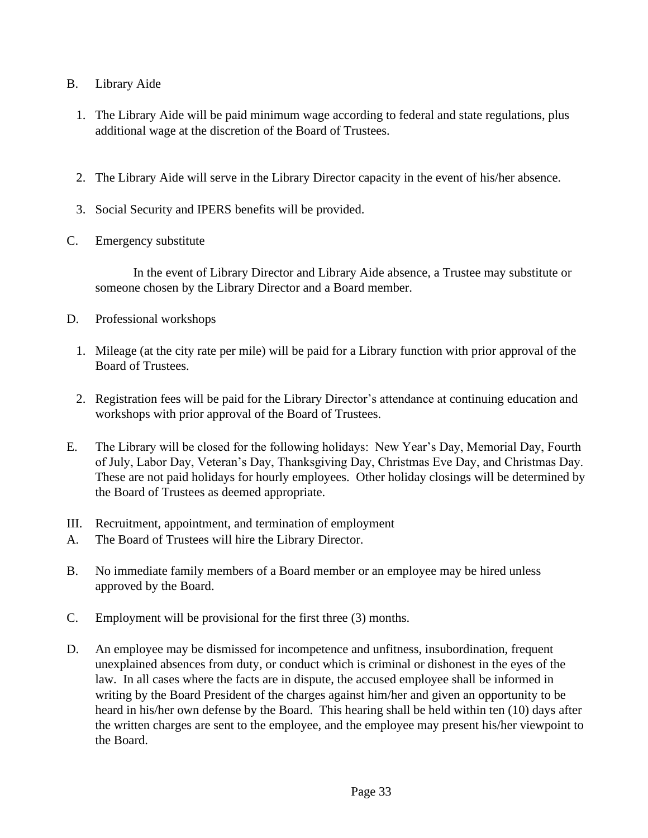- B. Library Aide
	- 1. The Library Aide will be paid minimum wage according to federal and state regulations, plus additional wage at the discretion of the Board of Trustees.
	- 2. The Library Aide will serve in the Library Director capacity in the event of his/her absence.
	- 3. Social Security and IPERS benefits will be provided.
- C. Emergency substitute

In the event of Library Director and Library Aide absence, a Trustee may substitute or someone chosen by the Library Director and a Board member.

- D. Professional workshops
	- 1. Mileage (at the city rate per mile) will be paid for a Library function with prior approval of the Board of Trustees.
	- 2. Registration fees will be paid for the Library Director's attendance at continuing education and workshops with prior approval of the Board of Trustees.
- E. The Library will be closed for the following holidays: New Year's Day, Memorial Day, Fourth of July, Labor Day, Veteran's Day, Thanksgiving Day, Christmas Eve Day, and Christmas Day. These are not paid holidays for hourly employees. Other holiday closings will be determined by the Board of Trustees as deemed appropriate.
- III. Recruitment, appointment, and termination of employment
- A. The Board of Trustees will hire the Library Director.
- B. No immediate family members of a Board member or an employee may be hired unless approved by the Board.
- C. Employment will be provisional for the first three (3) months.
- D. An employee may be dismissed for incompetence and unfitness, insubordination, frequent unexplained absences from duty, or conduct which is criminal or dishonest in the eyes of the law. In all cases where the facts are in dispute, the accused employee shall be informed in writing by the Board President of the charges against him/her and given an opportunity to be heard in his/her own defense by the Board. This hearing shall be held within ten (10) days after the written charges are sent to the employee, and the employee may present his/her viewpoint to the Board.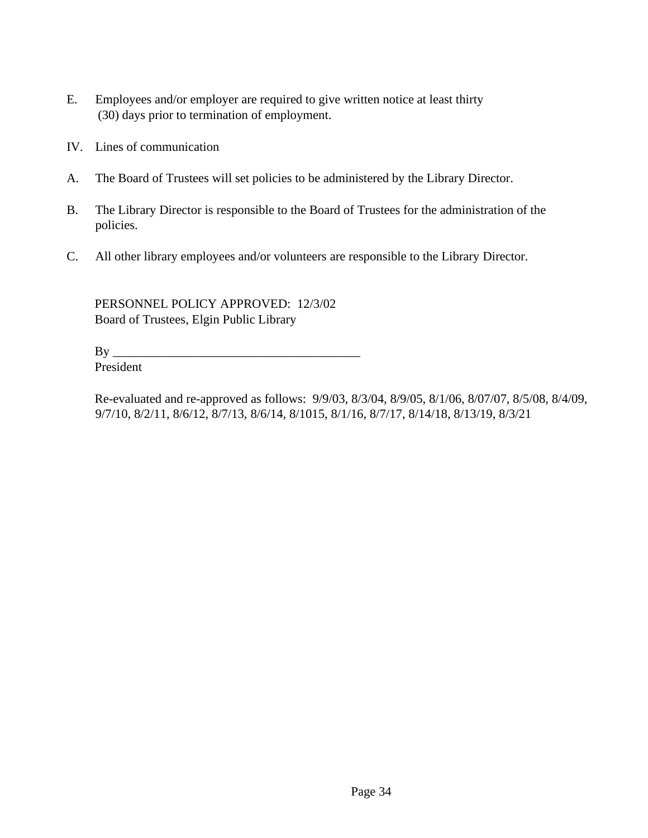- E. Employees and/or employer are required to give written notice at least thirty (30) days prior to termination of employment.
- IV. Lines of communication
- A. The Board of Trustees will set policies to be administered by the Library Director.
- B. The Library Director is responsible to the Board of Trustees for the administration of the policies.
- C. All other library employees and/or volunteers are responsible to the Library Director.

PERSONNEL POLICY APPROVED: 12/3/02 Board of Trustees, Elgin Public Library

 $By \_\_$ 

President

Re-evaluated and re-approved as follows: 9/9/03, 8/3/04, 8/9/05, 8/1/06, 8/07/07, 8/5/08, 8/4/09, 9/7/10, 8/2/11, 8/6/12, 8/7/13, 8/6/14, 8/1015, 8/1/16, 8/7/17, 8/14/18, 8/13/19, 8/3/21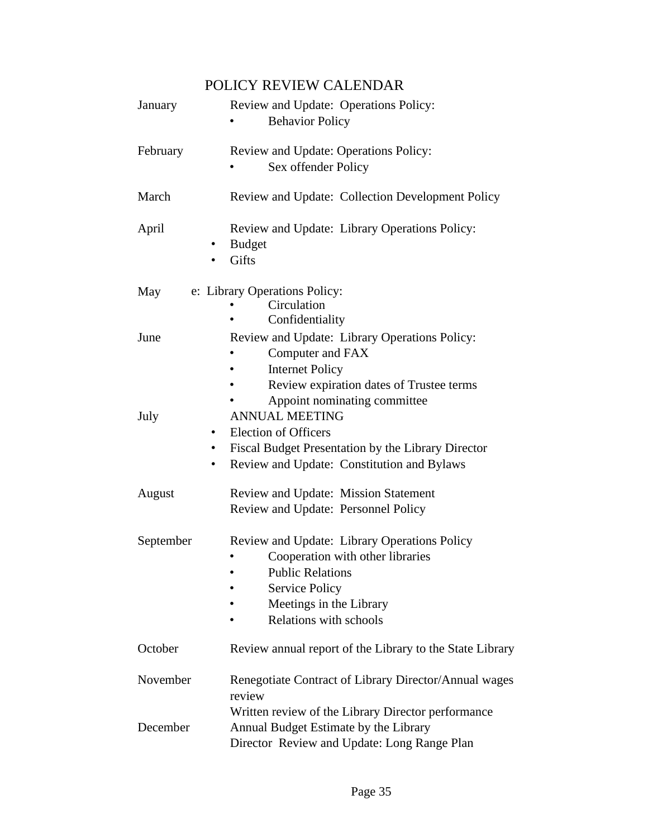## POLICY REVIEW CALENDAR

| January   | Review and Update: Operations Policy:<br><b>Behavior Policy</b>                                                                                                                                                                 |
|-----------|---------------------------------------------------------------------------------------------------------------------------------------------------------------------------------------------------------------------------------|
| February  | Review and Update: Operations Policy:<br>Sex offender Policy                                                                                                                                                                    |
| March     | Review and Update: Collection Development Policy                                                                                                                                                                                |
| April     | Review and Update: Library Operations Policy:<br><b>Budget</b><br>$\bullet$<br>Gifts                                                                                                                                            |
| May       | e: Library Operations Policy:<br>Circulation<br>Confidentiality                                                                                                                                                                 |
| June      | Review and Update: Library Operations Policy:<br>Computer and FAX<br><b>Internet Policy</b><br>Review expiration dates of Trustee terms                                                                                         |
| July      | Appoint nominating committee<br><b>ANNUAL MEETING</b><br><b>Election of Officers</b><br>$\bullet$<br>Fiscal Budget Presentation by the Library Director<br>$\bullet$<br>Review and Update: Constitution and Bylaws<br>$\bullet$ |
| August    | Review and Update: Mission Statement<br>Review and Update: Personnel Policy                                                                                                                                                     |
| September | Review and Update: Library Operations Policy<br>Cooperation with other libraries<br><b>Public Relations</b><br><b>Service Policy</b><br>Meetings in the Library<br>Relations with schools                                       |
| October   | Review annual report of the Library to the State Library                                                                                                                                                                        |
| November  | Renegotiate Contract of Library Director/Annual wages<br>review                                                                                                                                                                 |
| December  | Written review of the Library Director performance<br>Annual Budget Estimate by the Library<br>Director Review and Update: Long Range Plan                                                                                      |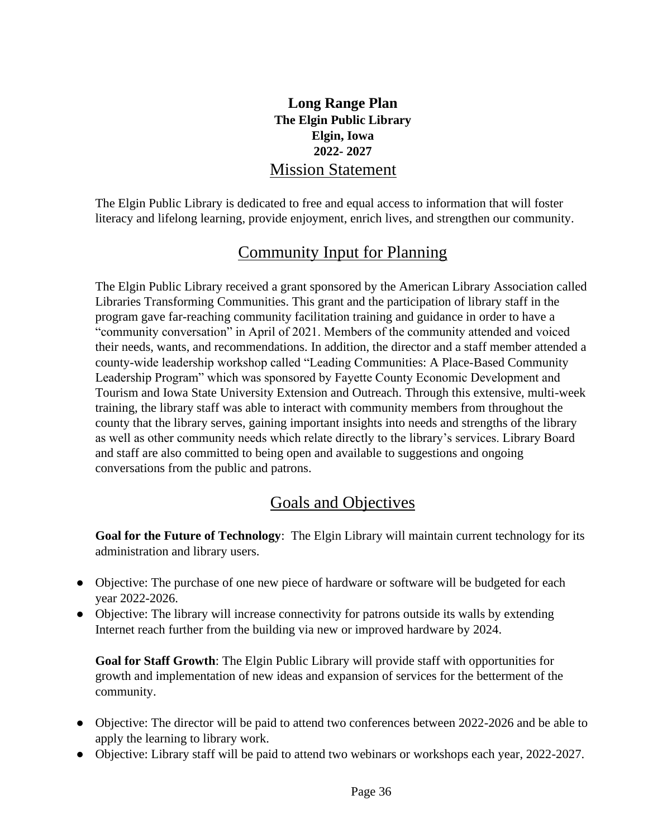## **Long Range Plan The Elgin Public Library Elgin, Iowa 2022- 2027** Mission Statement

The Elgin Public Library is dedicated to free and equal access to information that will foster literacy and lifelong learning, provide enjoyment, enrich lives, and strengthen our community.

# Community Input for Planning

The Elgin Public Library received a grant sponsored by the American Library Association called Libraries Transforming Communities. This grant and the participation of library staff in the program gave far-reaching community facilitation training and guidance in order to have a "community conversation" in April of 2021. Members of the community attended and voiced their needs, wants, and recommendations. In addition, the director and a staff member attended a county-wide leadership workshop called "Leading Communities: A Place-Based Community Leadership Program" which was sponsored by Fayette County Economic Development and Tourism and Iowa State University Extension and Outreach. Through this extensive, multi-week training, the library staff was able to interact with community members from throughout the county that the library serves, gaining important insights into needs and strengths of the library as well as other community needs which relate directly to the library's services. Library Board and staff are also committed to being open and available to suggestions and ongoing conversations from the public and patrons.

# Goals and Objectives

**Goal for the Future of Technology**: The Elgin Library will maintain current technology for its administration and library users.

- Objective: The purchase of one new piece of hardware or software will be budgeted for each year 2022-2026.
- Objective: The library will increase connectivity for patrons outside its walls by extending Internet reach further from the building via new or improved hardware by 2024.

**Goal for Staff Growth**: The Elgin Public Library will provide staff with opportunities for growth and implementation of new ideas and expansion of services for the betterment of the community.

- Objective: The director will be paid to attend two conferences between 2022-2026 and be able to apply the learning to library work.
- Objective: Library staff will be paid to attend two webinars or workshops each year, 2022-2027.